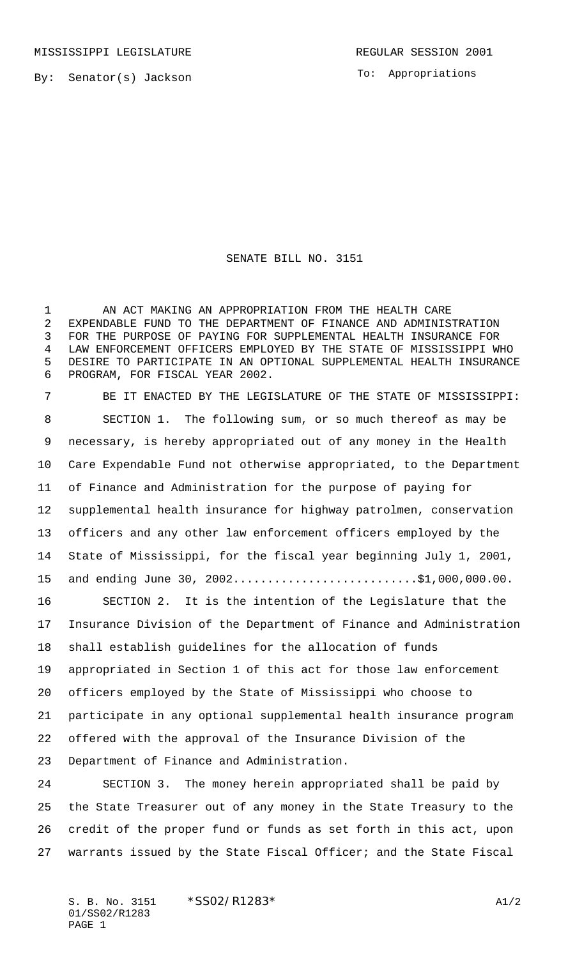To: Appropriations

## SENATE BILL NO. 3151

 AN ACT MAKING AN APPROPRIATION FROM THE HEALTH CARE EXPENDABLE FUND TO THE DEPARTMENT OF FINANCE AND ADMINISTRATION FOR THE PURPOSE OF PAYING FOR SUPPLEMENTAL HEALTH INSURANCE FOR LAW ENFORCEMENT OFFICERS EMPLOYED BY THE STATE OF MISSISSIPPI WHO DESIRE TO PARTICIPATE IN AN OPTIONAL SUPPLEMENTAL HEALTH INSURANCE PROGRAM, FOR FISCAL YEAR 2002.

 BE IT ENACTED BY THE LEGISLATURE OF THE STATE OF MISSISSIPPI: SECTION 1. The following sum, or so much thereof as may be necessary, is hereby appropriated out of any money in the Health Care Expendable Fund not otherwise appropriated, to the Department of Finance and Administration for the purpose of paying for supplemental health insurance for highway patrolmen, conservation officers and any other law enforcement officers employed by the State of Mississippi, for the fiscal year beginning July 1, 2001, 15 and ending June 30, 2002.............................\$1,000,000.00.

 SECTION 2. It is the intention of the Legislature that the Insurance Division of the Department of Finance and Administration shall establish guidelines for the allocation of funds appropriated in Section 1 of this act for those law enforcement officers employed by the State of Mississippi who choose to participate in any optional supplemental health insurance program offered with the approval of the Insurance Division of the Department of Finance and Administration.

 SECTION 3. The money herein appropriated shall be paid by the State Treasurer out of any money in the State Treasury to the credit of the proper fund or funds as set forth in this act, upon warrants issued by the State Fiscal Officer; and the State Fiscal